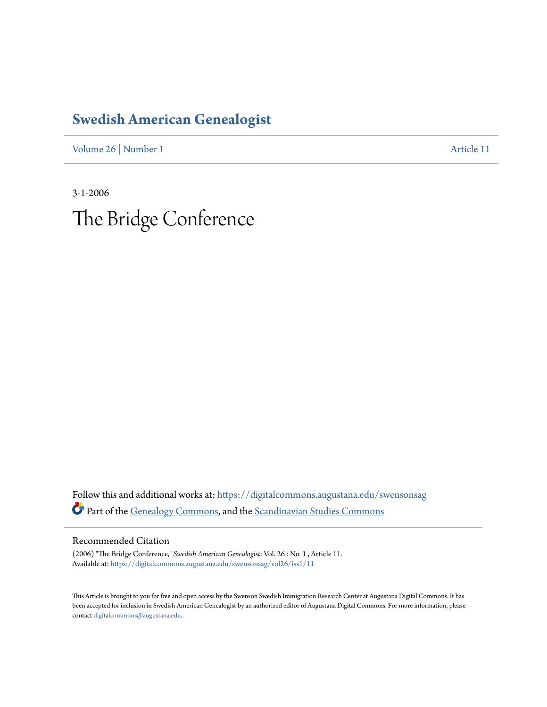## **[Swedish American Genealogist](https://digitalcommons.augustana.edu/swensonsag?utm_source=digitalcommons.augustana.edu%2Fswensonsag%2Fvol26%2Fiss1%2F11&utm_medium=PDF&utm_campaign=PDFCoverPages)**

[Volume 26](https://digitalcommons.augustana.edu/swensonsag/vol26?utm_source=digitalcommons.augustana.edu%2Fswensonsag%2Fvol26%2Fiss1%2F11&utm_medium=PDF&utm_campaign=PDFCoverPages) | [Number 1](https://digitalcommons.augustana.edu/swensonsag/vol26/iss1?utm_source=digitalcommons.augustana.edu%2Fswensonsag%2Fvol26%2Fiss1%2F11&utm_medium=PDF&utm_campaign=PDFCoverPages) [Article 11](https://digitalcommons.augustana.edu/swensonsag/vol26/iss1/11?utm_source=digitalcommons.augustana.edu%2Fswensonsag%2Fvol26%2Fiss1%2F11&utm_medium=PDF&utm_campaign=PDFCoverPages)

3-1-2006 The Bridge Conference

Follow this and additional works at: [https://digitalcommons.augustana.edu/swensonsag](https://digitalcommons.augustana.edu/swensonsag?utm_source=digitalcommons.augustana.edu%2Fswensonsag%2Fvol26%2Fiss1%2F11&utm_medium=PDF&utm_campaign=PDFCoverPages) Part of the [Genealogy Commons](http://network.bepress.com/hgg/discipline/1342?utm_source=digitalcommons.augustana.edu%2Fswensonsag%2Fvol26%2Fiss1%2F11&utm_medium=PDF&utm_campaign=PDFCoverPages), and the [Scandinavian Studies Commons](http://network.bepress.com/hgg/discipline/485?utm_source=digitalcommons.augustana.edu%2Fswensonsag%2Fvol26%2Fiss1%2F11&utm_medium=PDF&utm_campaign=PDFCoverPages)

Recommended Citation

(2006) "The Bridge Conference," *Swedish American Genealogist*: Vol. 26 : No. 1 , Article 11. Available at: [https://digitalcommons.augustana.edu/swensonsag/vol26/iss1/11](https://digitalcommons.augustana.edu/swensonsag/vol26/iss1/11?utm_source=digitalcommons.augustana.edu%2Fswensonsag%2Fvol26%2Fiss1%2F11&utm_medium=PDF&utm_campaign=PDFCoverPages)

This Article is brought to you for free and open access by the Swenson Swedish Immigration Research Center at Augustana Digital Commons. It has been accepted for inclusion in Swedish American Genealogist by an authorized editor of Augustana Digital Commons. For more information, please contact [digitalcommons@augustana.edu.](mailto:digitalcommons@augustana.edu)